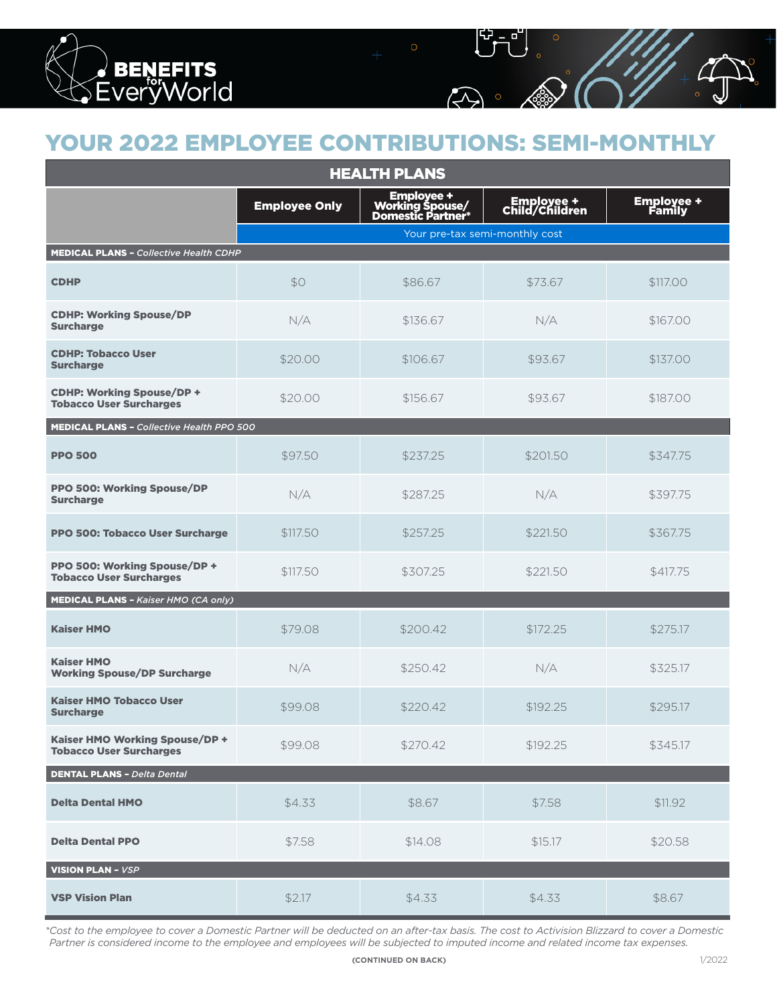

## YOUR 2022 EMPLOYEE CONTRIBUTIONS: SEMI-MONTHLY

| <b>HEALTH PLANS</b>                                                |                      |                                                             |                              |                             |
|--------------------------------------------------------------------|----------------------|-------------------------------------------------------------|------------------------------|-----------------------------|
|                                                                    | <b>Employee Only</b> | <b>Employee +<br/>/Working Spouse<br/>*Domestic Partner</b> | Employee +<br>Child/Children | <b>Employee +</b><br>Family |
|                                                                    |                      | Your pre-tax semi-monthly cost                              |                              |                             |
| <b>MEDICAL PLANS - Collective Health CDHP</b>                      |                      |                                                             |                              |                             |
| <b>CDHP</b>                                                        | \$0                  | \$86.67                                                     | \$73.67                      | \$117.00                    |
| <b>CDHP: Working Spouse/DP</b><br><b>Surcharge</b>                 | N/A                  | \$136.67                                                    | N/A                          | \$167.00                    |
| <b>CDHP: Tobacco User</b><br><b>Surcharge</b>                      | \$20.00              | \$106.67                                                    | \$93.67                      | \$137.00                    |
| <b>CDHP: Working Spouse/DP +</b><br><b>Tobacco User Surcharges</b> | \$20.00              | \$156.67                                                    | \$93.67                      | \$187.00                    |
| <b>MEDICAL PLANS - Collective Health PPO 500</b>                   |                      |                                                             |                              |                             |
| <b>PPO 500</b>                                                     | \$97.50              | \$237.25                                                    | \$201.50                     | \$347.75                    |
| <b>PPO 500: Working Spouse/DP</b><br><b>Surcharge</b>              | N/A                  | \$287.25                                                    | N/A                          | \$397.75                    |
| PPO 500: Tobacco User Surcharge                                    | \$117.50             | \$257.25                                                    | \$221.50                     | \$367.75                    |
| PPO 500: Working Spouse/DP +<br><b>Tobacco User Surcharges</b>     | \$117.50             | \$307.25                                                    | \$221.50                     | \$417.75                    |
| <b>MEDICAL PLANS - Kaiser HMO (CA only)</b>                        |                      |                                                             |                              |                             |
| <b>Kaiser HMO</b>                                                  | \$79.08              | \$200.42                                                    | \$172.25                     | \$275.17                    |
| <b>Kaiser HMO</b><br><b>Working Spouse/DP Surcharge</b>            | N/A                  | \$250.42                                                    | N/A                          | \$325.17                    |
| <b>Kaiser HMO Tobacco User</b><br><b>Surcharge</b>                 | \$99.08              | \$220.42                                                    | \$192.25                     | \$295.17                    |
| Kaiser HMO Working Spouse/DP +<br><b>Tobacco User Surcharges</b>   | \$99.08              | \$270.42                                                    | \$192.25                     | \$345.17                    |
| <b>DENTAL PLANS - Delta Dental</b>                                 |                      |                                                             |                              |                             |
| <b>Delta Dental HMO</b>                                            | \$4.33               | \$8.67                                                      | \$7.58                       | \$11.92                     |
| <b>Delta Dental PPO</b>                                            | \$7.58               | \$14.08                                                     | \$15.17                      | \$20.58                     |
| <b>VISION PLAN - VSP</b>                                           |                      |                                                             |                              |                             |
| <b>VSP Vision Plan</b>                                             | \$2.17               | \$4.33                                                      | \$4.33                       | \$8.67                      |

*\*Cost to the employee to cover a Domestic Partner will be deducted on an after-tax basis. The cost to Activision Blizzard to cover a Domestic Partner is considered income to the employee and employees will be subjected to imputed income and related income tax expenses.*